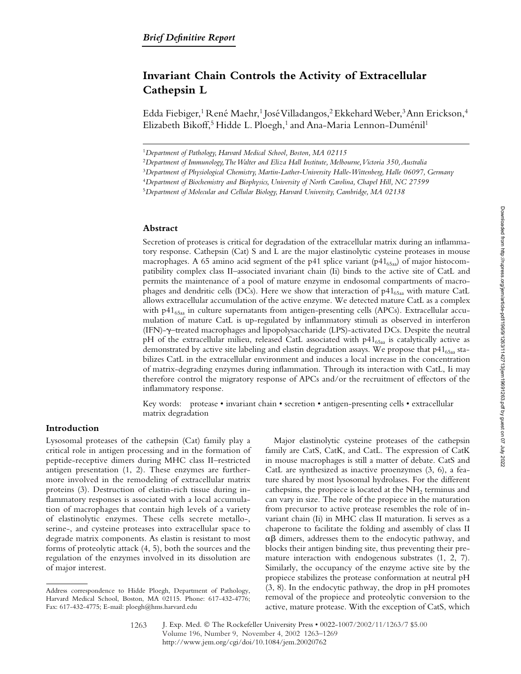# **Invariant Chain Controls the Activity of Extracellular Cathepsin L**

Edda Fiebiger,<sup>1</sup> René Maehr,<sup>1</sup> José Villadangos,<sup>2</sup> Ekkehard Weber,<sup>3</sup> Ann Erickson,<sup>4</sup> Elizabeth Bikoff,<sup>5</sup> Hidde L. Ploegh,<sup>1</sup> and Ana-Maria Lennon-Duménil<sup>1</sup>

## **Abstract**

Secretion of proteases is critical for degradation of the extracellular matrix during an inflammatory response. Cathepsin (Cat) S and L are the major elastinolytic cysteine proteases in mouse macrophages. A 65 amino acid segment of the p41 splice variant ( $p41_{65a}$ ) of major histocompatibility complex class II–associated invariant chain (Ii) binds to the active site of CatL and permits the maintenance of a pool of mature enzyme in endosomal compartments of macrophages and dendritic cells (DCs). Here we show that interaction of  $p41_{65aa}$  with mature CatL allows extracellular accumulation of the active enzyme. We detected mature CatL as a complex with  $p41_{65a}$  in culture supernatants from antigen-presenting cells (APCs). Extracellular accumulation of mature CatL is up-regulated by inflammatory stimuli as observed in interferon (IFN)-y-treated macrophages and lipopolysaccharide (LPS)-activated DCs. Despite the neutral pH of the extracellular milieu, released CatL associated with  $p41_{65aa}$  is catalytically active as demonstrated by active site labeling and elastin degradation assays. We propose that  $p41_{65a}$  stabilizes CatL in the extracellular environment and induces a local increase in the concentration of matrix-degrading enzymes during inflammation. Through its interaction with CatL, Ii may therefore control the migratory response of APCs and/or the recruitment of effectors of the inflammatory response.

Key words: protease • invariant chain • secretion • antigen-presenting cells • extracellular matrix degradation

# **Introduction**

Lysosomal proteases of the cathepsin (Cat) family play a critical role in antigen processing and in the formation of peptide-receptive dimers during MHC class II–restricted antigen presentation (1, 2). These enzymes are furthermore involved in the remodeling of extracellular matrix proteins (3). Destruction of elastin-rich tissue during inflammatory responses is associated with a local accumulation of macrophages that contain high levels of a variety of elastinolytic enzymes. These cells secrete metallo-, serine-, and cysteine proteases into extracellular space to degrade matrix components. As elastin is resistant to most forms of proteolytic attack (4, 5), both the sources and the regulation of the enzymes involved in its dissolution are of major interest.

Major elastinolytic cysteine proteases of the cathepsin family are CatS, CatK, and CatL. The expression of CatK in mouse macrophages is still a matter of debate. CatS and CatL are synthesized as inactive proenzymes (3, 6), a feature shared by most lysosomal hydrolases. For the different cathepsins, the propiece is located at the NH<sub>2</sub> terminus and can vary in size. The role of the propiece in the maturation from precursor to active protease resembles the role of invariant chain (Ii) in MHC class II maturation. Ii serves as a chaperone to facilitate the folding and assembly of class II  $\alpha\beta$  dimers, addresses them to the endocytic pathway, and blocks their antigen binding site, thus preventing their premature interaction with endogenous substrates  $(1, 2, 7)$ . Similarly, the occupancy of the enzyme active site by the propiece stabilizes the protease conformation at neutral pH (3, 8). In the endocytic pathway, the drop in pH promotes removal of the propiece and proteolytic conversion to the active, mature protease. With the exception of CatS, which

Downloaded from http://rupress.org/jem/article-pdf/196/9/1263/1142713/jem19691263.pdf by guest on 07 July 2022 Downloaded from http://rupress.org/jem/article-pdf/196/9/1263/1142713/jem19691263.pdf by guest on 07 July 2022

<sup>1</sup>*Department of Pathology, Harvard Medical School, Boston, MA 02115*

<sup>2</sup>*Department of Immunology, The Walter and Eliza Hall Institute, Melbourne, Victoria 350, Australia*

<sup>3</sup>*Department of Physiological Chemistry, Martin-Luther-University Halle-Wittenberg, Halle 06097, Germany*

<sup>4</sup>*Department of Biochemistry and Biophysics, University of North Carolina, Chapel Hill, NC 27599*

<sup>5</sup>*Department of Molecular and Cellular Biology, Harvard University, Cambridge, MA 02138*

Address correspondence to Hidde Ploegh, Department of Pathology, Harvard Medical School, Boston, MA 02115. Phone: 617-432-4776; Fax: 617-432-4775; E-mail: ploegh@hms.harvard.edu

<sup>1263</sup>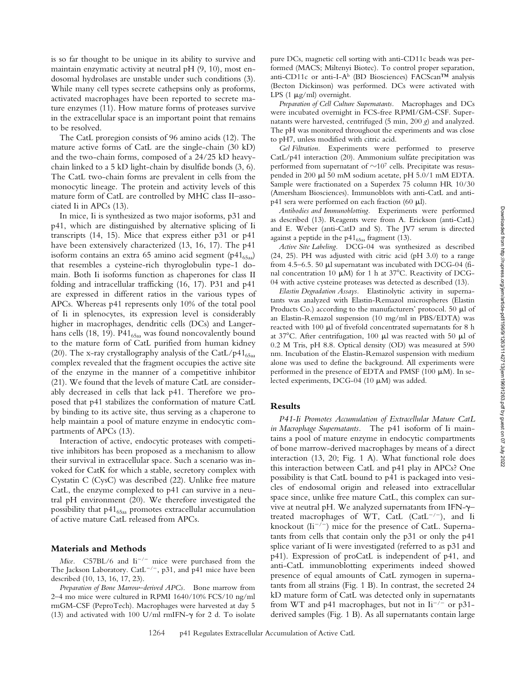is so far thought to be unique in its ability to survive and maintain enzymatic activity at neutral pH (9, 10), most endosomal hydrolases are unstable under such conditions (3). While many cell types secrete cathepsins only as proforms, activated macrophages have been reported to secrete mature enzymes (11). How mature forms of proteases survive in the extracellular space is an important point that remains to be resolved.

The CatL proregion consists of 96 amino acids (12). The mature active forms of CatL are the single-chain (30 kD) and the two-chain forms, composed of a 24/25 kD heavychain linked to a 5 kD light-chain by disulfide bonds (3, 6). The CatL two-chain forms are prevalent in cells from the monocytic lineage. The protein and activity levels of this mature form of CatL are controlled by MHC class II–associated Ii in APCs (13).

In mice, Ii is synthesized as two major isoforms, p31 and p41, which are distinguished by alternative splicing of Ii transcripts (14, 15). Mice that express either p31 or p41 have been extensively characterized (13, 16, 17). The p41 isoform contains an extra 65 amino acid segment ( $p41_{65a}$ ) that resembles a cysteine-rich thyroglobulin type-1 domain. Both Ii isoforms function as chaperones for class II folding and intracellular trafficking (16, 17). P31 and p41 are expressed in different ratios in the various types of APCs. Whereas p41 represents only 10% of the total pool of Ii in splenocytes, its expression level is considerably higher in macrophages, dendritic cells (DCs) and Langerhans cells (18, 19). P $41_{65a}$  was found noncovalently bound to the mature form of CatL purified from human kidney (20). The x-ray crystallography analysis of the CatL/p41 $_{65a}$ complex revealed that the fragment occupies the active site of the enzyme in the manner of a competitive inhibitor (21). We found that the levels of mature CatL are considerably decreased in cells that lack p41. Therefore we proposed that p41 stabilizes the conformation of mature CatL by binding to its active site, thus serving as a chaperone to help maintain a pool of mature enzyme in endocytic compartments of APCs (13).

Interaction of active, endocytic proteases with competitive inhibitors has been proposed as a mechanism to allow their survival in extracellular space. Such a scenario was invoked for CatK for which a stable, secretory complex with Cystatin C (CysC) was described (22). Unlike free mature CatL, the enzyme complexed to p41 can survive in a neutral pH environment (20). We therefore investigated the possibility that  $p41_{65aa}$  promotes extracellular accumulation of active mature CatL released from APCs.

## **Materials and Methods**

*Mice.* C57BL/6 and  $\mathrm{Ii}^{-/-}$  mice were purchased from the The Jackson Laboratory. CatL<sup> $-/-$ </sup>, p31, and p41 mice have been described (10, 13, 16, 17, 23).

*Preparation of Bone Marrow–derived APCs.* Bone marrow from 2–4 mo mice were cultured in RPMI 1640/10% FCS/10 ng/ml rmGM-CSF (PeproTech). Macrophages were harvested at day 5 (13) and activated with 100 U/ml rmIFN- $\gamma$  for 2 d. To isolate

pure DCs, magnetic cell sorting with anti-CD11c beads was performed (MACS; Miltenyi Biotec). To control proper separation, anti-CD11c or anti-I-A<sup>b</sup> (BD Biosciences) FACScan™ analysis (Becton Dickinson) was performed. DCs were activated with LPS (1  $\mu$ g/ml) overnight.

*Preparation of Cell Culture Supernatants.* Macrophages and DCs were incubated overnight in FCS-free RPMI/GM-CSF. Supernatants were harvested, centrifuged (5 min, 200 *g*) and analyzed. The pH was monitored throughout the experiments and was close to pH7, unless modified with citric acid.

*Gel Filtration.* Experiments were performed to preserve CatL/p41 interaction (20). Ammonium sulfate precipitation was performed from supernatant of  $\sim$ 10<sup>7</sup> cells. Precipitate was resuspended in 200  $\mu$ 1 50 mM sodium acetate, pH 5.0/1 mM EDTA. Sample were fractionated on a Superdex 75 column HR 10/30 (Amersham Biosciences). Immunoblots with anti-CatL and anti $p41$  sera were performed on each fraction (60  $\mu$ l).

*Antibodies and Immunoblotting.* Experiments were performed as described (13). Reagents were from A. Erickson (anti-CatL) and E. Weber (anti-CatD and S). The JV7 serum is directed against a peptide in the  $p41_{65aa}$  fragment (13).

*Active Site Labeling.* DCG-04 was synthesized as described (24, 25). PH was adjusted with citric acid (pH 3.0) to a range from 4.5–6.5. 50  $\mu$ l supernatant was incubated with DCG-04 (final concentration 10  $\mu$ M) for 1 h at 37°C. Reactivity of DCG-04 with active cysteine proteases was detected as described (13).

*Elastin Degradation Assays.* Elastinolytic activity in supernatants was analyzed with Elastin-Remazol microspheres (Elastin Products Co.) according to the manufacturers' protocol. 50  $\mu$ l of an Elastin-Remazol suspension (10 mg/ml in PBS/EDTA) was reacted with 100  $\mu$ l of fivefold concentrated supernatants for 8 h at  $37^{\circ}$ C. After centrifugation, 100  $\mu$ l was reacted with 50  $\mu$ l of 0.2 M Tris, pH 8.8. Optical density (OD) was measured at 590 nm. Incubation of the Elastin-Remazol suspension with medium alone was used to define the background. All experiments were performed in the presence of EDTA and PMSF (100  $\mu$ M). In selected experiments, DCG-04 (10  $\mu$ M) was added.

#### **Results**

*P41-Ii Promotes Accumulation of Extracellular Mature CatL in Macrophage Supernatants.* The p41 isoform of Ii maintains a pool of mature enzyme in endocytic compartments of bone marrow-derived macrophages by means of a direct interaction (13, 20; Fig. 1 A). What functional role does this interaction between CatL and p41 play in APCs? One possibility is that CatL bound to p41 is packaged into vesicles of endosomal origin and released into extracellular space since, unlike free mature CatL, this complex can survive at neutral pH. We analyzed supernatants from IFN- $\gamma$ treated macrophages of WT, CatL  $(CatL^{-/-})$ , and Ii knockout  $(Ii^{-/-})$  mice for the presence of CatL. Supernatants from cells that contain only the p31 or only the p41 splice variant of Ii were investigated (referred to as p31 and p41). Expression of proCatL is independent of p41, and anti-CatL immunoblotting experiments indeed showed presence of equal amounts of CatL zymogen in supernatants from all strains (Fig. 1 B). In contrast, the secreted 24 kD mature form of CatL was detected only in supernatants from WT and p41 macrophages, but not in  $\mathrm{I}i^{-/-}$  or p31derived samples (Fig. 1 B). As all supernatants contain large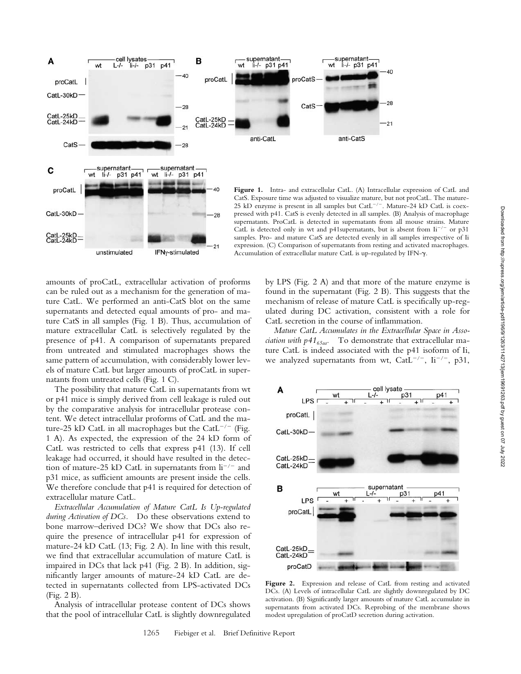

amounts of proCatL, extracellular activation of proforms can be ruled out as a mechanism for the generation of mature CatL. We performed an anti-CatS blot on the same supernatants and detected equal amounts of pro- and mature CatS in all samples (Fig. 1 B). Thus, accumulation of mature extracellular CatL is selectively regulated by the presence of p41. A comparison of supernatants prepared from untreated and stimulated macrophages shows the same pattern of accumulation, with considerably lower levels of mature CatL but larger amounts of proCatL in supernatants from untreated cells (Fig. 1 C).

The possibility that mature CatL in supernatants from wt or p41 mice is simply derived from cell leakage is ruled out by the comparative analysis for intracellular protease content. We detect intracellular proforms of CatL and the mature-25 kD CatL in all macrophages but the CatL<sup>-/-</sup> (Fig. 1 A). As expected, the expression of the 24 kD form of CatL was restricted to cells that express p41 (13). If cell leakage had occurred, it should have resulted in the detection of mature-25 kD CatL in supernatants from  $li^{-/-}$  and p31 mice, as sufficient amounts are present inside the cells. We therefore conclude that p41 is required for detection of extracellular mature CatL.

*Extracellular Accumulation of Mature CatL Is Up-regulated during Activation of DCs.* Do these observations extend to bone marrow–derived DCs? We show that DCs also require the presence of intracellular p41 for expression of mature-24 kD CatL (13; Fig. 2 A). In line with this result, we find that extracellular accumulation of mature CatL is impaired in DCs that lack p41 (Fig. 2 B). In addition, significantly larger amounts of mature-24 kD CatL are detected in supernatants collected from LPS-activated DCs (Fig. 2 B).

Analysis of intracellular protease content of DCs shows that the pool of intracellular CatL is slightly downregulated

by LPS (Fig. 2 A) and that more of the mature enzyme is found in the supernatant (Fig. 2 B). This suggests that the mechanism of release of mature CatL is specifically up-regulated during DC activation, consistent with a role for CatL secretion in the course of inflammation.

*Mature CatL Accumulates in the Extracellular Space in Association with p4165aa.* To demonstrate that extracellular mature CatL is indeed associated with the p41 isoform of Ii, we analyzed supernatants from wt,  $CatL^{-/-}$ ,  $Li^{-/-}$ , p31,



Figure 2. Expression and release of CatL from resting and activated DCs. (A) Levels of intracellular CatL are slightly downregulated by DC activation. (B) Significantly larger amounts of mature CatL accumulate in supernatants from activated DCs. Reprobing of the membrane shows modest upregulation of proCatD secretion during activation.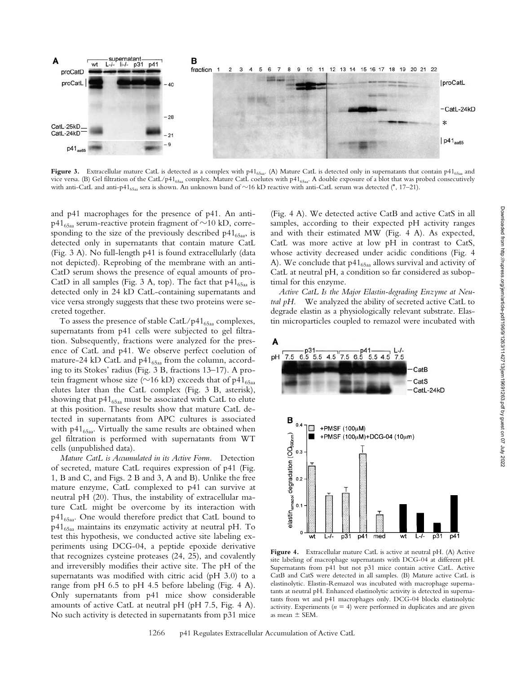

Figure 3. Extracellular mature CatL is detected as a complex with p41<sub>65aa</sub>. (A) Mature CatL is detected only in supernatants that contain p41<sub>65aa</sub> and vice versa. (B) Gel filtration of the CatL/p41<sub>65aa</sub> complex. Mature CatL coelutes with p41<sub>65aa</sub>. A double exposure of a blot that was probed consecutively with anti-CatL and anti-p41<sub>65aa</sub> sera is shown. An unknown band of  $\sim$ 16 kD reactive with anti-CatL serum was detected (\*, 17–21).

and p41 macrophages for the presence of p41. An antip41<sub>65aa</sub> serum-reactive protein fragment of  $\sim$ 10 kD, corresponding to the size of the previously described  $p41_{65aa}$ , is detected only in supernatants that contain mature CatL (Fig. 3 A). No full-length p41 is found extracellularly (data not depicted). Reprobing of the membrane with an anti-CatD serum shows the presence of equal amounts of pro-CatD in all samples (Fig. 3 A, top). The fact that  $p41_{65a}$  is detected only in 24 kD CatL-containing supernatants and vice versa strongly suggests that these two proteins were secreted together.

To assess the presence of stable CatL/p41 $_{65aa}$  complexes, supernatants from p41 cells were subjected to gel filtration. Subsequently, fractions were analyzed for the presence of CatL and p41. We observe perfect coelution of mature-24 kD CatL and  $p41_{65aa}$  from the column, according to its Stokes' radius (Fig. 3 B, fractions 13–17). A protein fragment whose size ( $\sim$ 16 kD) exceeds that of p41 $_{65$ aa elutes later than the CatL complex (Fig. 3 B, asterisk), showing that  $p41_{65aa}$  must be associated with CatL to elute at this position. These results show that mature CatL detected in supernatants from APC cultures is associated with  $p41_{65aa}$ . Virtually the same results are obtained when gel filtration is performed with supernatants from WT cells (unpublished data).

*Mature CatL is Accumulated in its Active Form.* Detection of secreted, mature CatL requires expression of p41 (Fig. 1, B and C, and Figs. 2 B and 3, A and B). Unlike the free mature enzyme, CatL complexed to p41 can survive at neutral pH (20). Thus, the instability of extracellular mature CatL might be overcome by its interaction with  $p41_{65aa}$ . One would therefore predict that CatL bound to  $p41_{65aa}$  maintains its enzymatic activity at neutral pH. To test this hypothesis, we conducted active site labeling experiments using DCG-04, a peptide epoxide derivative that recognizes cysteine proteases (24, 25), and covalently and irreversibly modifies their active site. The pH of the supernatants was modified with citric acid (pH 3.0) to a range from pH 6.5 to pH 4.5 before labeling (Fig. 4 A). Only supernatants from p41 mice show considerable amounts of active CatL at neutral pH (pH 7.5, Fig. 4 A). No such activity is detected in supernatants from p31 mice

(Fig. 4 A). We detected active CatB and active CatS in all samples, according to their expected pH activity ranges and with their estimated MW (Fig. 4 A). As expected, CatL was more active at low pH in contrast to CatS, whose activity decreased under acidic conditions (Fig. 4 A). We conclude that  $p41_{65aa}$  allows survival and activity of CatL at neutral pH, a condition so far considered as suboptimal for this enzyme.

*Active CatL Is the Major Elastin-degrading Enzyme at Neutral pH.* We analyzed the ability of secreted active CatL to degrade elastin as a physiologically relevant substrate. Elastin microparticles coupled to remazol were incubated with



**Figure 4.** Extracellular mature CatL is active at neutral pH. (A) Active site labeling of macrophage supernatants with DCG-04 at different pH. Supernatants from p41 but not p31 mice contain active CatL. Active CatB and CatS were detected in all samples. (B) Mature active CatL is elastinolytic. Elastin-Remazol was incubated with macrophage supernatants at neutral pH. Enhanced elastinolytic activity is detected in supernatants from wt and p41 macrophages only. DCG-04 blocks elastinolytic activity. Experiments  $(n = 4)$  were performed in duplicates and are given as mean  $\pm$  SEM.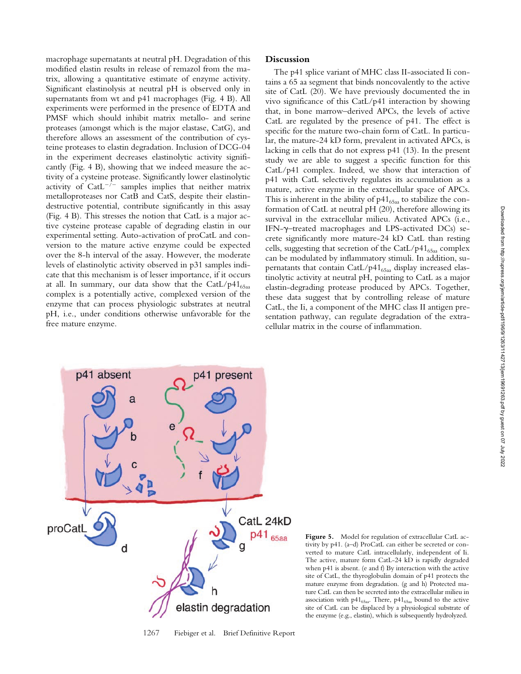macrophage supernatants at neutral pH. Degradation of this modified elastin results in release of remazol from the matrix, allowing a quantitative estimate of enzyme activity. Significant elastinolysis at neutral pH is observed only in supernatants from wt and p41 macrophages (Fig. 4 B). All experiments were performed in the presence of EDTA and PMSF which should inhibit matrix metallo- and serine proteases (amongst which is the major elastase, CatG), and therefore allows an assessment of the contribution of cysteine proteases to elastin degradation. Inclusion of DCG-04 in the experiment decreases elastinolytic activity significantly (Fig. 4 B), showing that we indeed measure the activity of a cysteine protease. Significantly lower elastinolytic activity of  $CatL^{-/-}$  samples implies that neither matrix metalloproteases nor CatB and CatS, despite their elastindestructive potential, contribute significantly in this assay (Fig. 4 B). This stresses the notion that CatL is a major active cysteine protease capable of degrading elastin in our experimental setting. Auto-activation of proCatL and conversion to the mature active enzyme could be expected over the 8-h interval of the assay. However, the moderate levels of elastinolytic activity observed in p31 samples indicate that this mechanism is of lesser importance, if it occurs at all. In summary, our data show that the CatL/p41 $_{65a}$ complex is a potentially active, complexed version of the enzyme that can process physiologic substrates at neutral pH, i.e., under conditions otherwise unfavorable for the free mature enzyme.

# **Discussion**

The p41 splice variant of MHC class II-associated Ii contains a 65 aa segment that binds noncovalently to the active site of CatL (20). We have previously documented the in vivo significance of this CatL/p41 interaction by showing that, in bone marrow–derived APCs, the levels of active CatL are regulated by the presence of p41. The effect is specific for the mature two-chain form of CatL. In particular, the mature-24 kD form, prevalent in activated APCs, is lacking in cells that do not express p41 (13). In the present study we are able to suggest a specific function for this CatL/p41 complex. Indeed, we show that interaction of p41 with CatL selectively regulates its accumulation as a mature, active enzyme in the extracellular space of APCs. This is inherent in the ability of  $p41_{65aa}$  to stabilize the conformation of CatL at neutral pH (20), therefore allowing its survival in the extracellular milieu. Activated APCs (i.e., IFN-y-treated macrophages and LPS-activated DCs) secrete significantly more mature-24 kD CatL than resting cells, suggesting that secretion of the CatL/p41 $_{65aa}$  complex can be modulated by inflammatory stimuli. In addition, supernatants that contain CatL/p $41_{65aa}$  display increased elastinolytic activity at neutral pH, pointing to CatL as a major elastin-degrading protease produced by APCs. Together, these data suggest that by controlling release of mature CatL, the Ii, a component of the MHC class II antigen presentation pathway, can regulate degradation of the extracellular matrix in the course of inflammation.



Figure 5. Model for regulation of extracellular CatL activity by p41. (a–d) ProCatL can either be secreted or converted to mature CatL intracellularly, independent of Ii. The active, mature form CatL-24 kD is rapidly degraded when p41 is absent. (e and f) By interaction with the active site of CatL, the thyroglobulin domain of p41 protects the mature enzyme from degradation. (g and h) Protected mature CatL can then be secreted into the extracellular milieu in association with  $p41_{65aa}$ . There,  $p41_{65aa}$  bound to the active site of CatL can be displaced by a physiological substrate of the enzyme (e.g., elastin), which is subsequently hydrolyzed.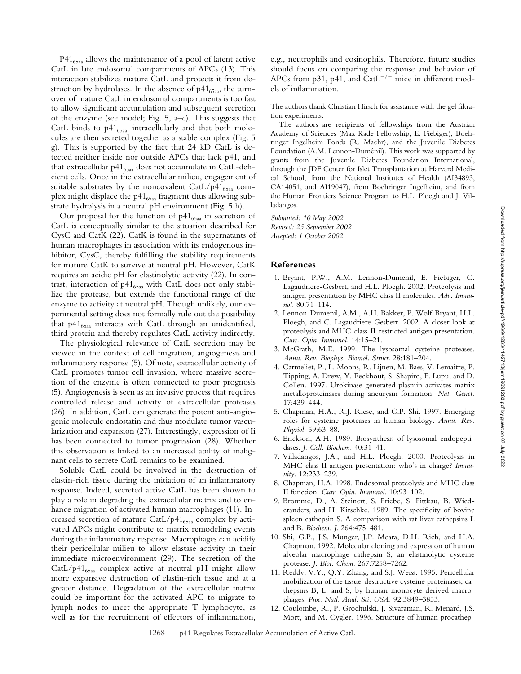$P41_{65aa}$  allows the maintenance of a pool of latent active CatL in late endosomal compartments of APCs (13). This interaction stabilizes mature CatL and protects it from destruction by hydrolases. In the absence of  $p41_{65aa}$ , the turnover of mature CatL in endosomal compartments is too fast to allow significant accumulation and subsequent secretion of the enzyme (see model; Fig. 5, a–c). This suggests that CatL binds to  $p41_{65a}$  intracellularly and that both molecules are then secreted together as a stable complex (Fig. 5 g). This is supported by the fact that 24 kD CatL is detected neither inside nor outside APCs that lack p41, and that extracellular  $p41_{65aa}$  does not accumulate in CatL-deficient cells. Once in the extracellular milieu, engagement of suitable substrates by the noncovalent CatL/p41 $_{65aa}$  complex might displace the  $p41_{65aa}$  fragment thus allowing substrate hydrolysis in a neutral pH environment (Fig. 5 h).

Our proposal for the function of  $p41_{65aa}$  in secretion of CatL is conceptually similar to the situation described for CysC and CatK (22). CatK is found in the supernatants of human macrophages in association with its endogenous inhibitor, CysC, thereby fulfilling the stability requirements for mature CatK to survive at neutral pH. However, CatK requires an acidic pH for elastinolytic activity (22). In contrast, interaction of  $p41_{65aa}$  with CatL does not only stabilize the protease, but extends the functional range of the enzyme to activity at neutral pH. Though unlikely, our experimental setting does not formally rule out the possibility that p41 $_{65aa}$  interacts with CatL through an unidentified, third protein and thereby regulates CatL activity indirectly.

The physiological relevance of CatL secretion may be viewed in the context of cell migration, angiogenesis and inflammatory response (5). Of note, extracellular activity of CatL promotes tumor cell invasion, where massive secretion of the enzyme is often connected to poor prognosis (5). Angiogenesis is seen as an invasive process that requires controlled release and activity of extracellular proteases (26). In addition, CatL can generate the potent anti-angiogenic molecule endostatin and thus modulate tumor vascularization and expansion (27). Interestingly, expression of Ii has been connected to tumor progression (28). Whether this observation is linked to an increased ability of malignant cells to secrete CatL remains to be examined.

Soluble CatL could be involved in the destruction of elastin-rich tissue during the initiation of an inflammatory response. Indeed, secreted active CatL has been shown to play a role in degrading the extracellular matrix and to enhance migration of activated human macrophages (11). Increased secretion of mature CatL/p41 $_{65aa}$  complex by activated APCs might contribute to matrix remodeling events during the inflammatory response. Macrophages can acidify their pericellular milieu to allow elastase activity in their immediate microenvironment (29). The secretion of the CatL/p41<sub>65aa</sub> complex active at neutral pH might allow more expansive destruction of elastin-rich tissue and at a greater distance. Degradation of the extracellular matrix could be important for the activated APC to migrate to lymph nodes to meet the appropriate T lymphocyte, as well as for the recruitment of effectors of inflammation,

e.g., neutrophils and eosinophils. Therefore, future studies should focus on comparing the response and behavior of APCs from p31, p41, and CatL $^{-/-}$  mice in different models of inflammation.

The authors thank Christian Hirsch for assistance with the gel filtration experiments.

The authors are recipients of fellowships from the Austrian Academy of Sciences (Max Kade Fellowship; E. Fiebiger), Boehringer Ingelheim Fonds (R. Maehr), and the Juvenile Diabetes Foundation (A.M. Lennon-Duménil). This work was supported by grants from the Juvenile Diabetes Foundation International, through the JDF Center for Islet Transplantation at Harvard Medical School, from the National Institutes of Health (AI34893, CA14051, and AI19047), from Boehringer Ingelheim, and from the Human Frontiers Science Program to H.L. Ploegh and J. Villadangos.

*Submitted: 10 May 2002 Revised: 25 September 2002 Accepted: 1 October 2002*

## **References**

- 1. Bryant, P.W., A.M. Lennon-Dumenil, E. Fiebiger, C. Lagaudriere-Gesbert, and H.L. Ploegh. 2002. Proteolysis and antigen presentation by MHC class II molecules. *Adv. Immunol.* 80:71–114.
- 2. Lennon-Dumenil, A.M., A.H. Bakker, P. Wolf-Bryant, H.L. Ploegh, and C. Lagaudriere-Gesbert. 2002. A closer look at proteolysis and MHC-class-II-restricted antigen presentation. *Curr. Opin. Immunol.* 14:15–21.
- 3. McGrath, M.E. 1999. The lysosomal cysteine proteases. *Annu. Rev. Biophys. Biomol. Struct.* 28:181–204.
- 4. Carmeliet, P., L. Moons, R. Lijnen, M. Baes, V. Lemaitre, P. Tipping, A. Drew, Y. Eeckhout, S. Shapiro, F. Lupu, and D. Collen. 1997. Urokinase-generated plasmin activates matrix metalloproteinases during aneurysm formation. *Nat. Genet.* 17:439–444.
- 5. Chapman, H.A., R.J. Riese, and G.P. Shi. 1997. Emerging roles for cysteine proteases in human biology. *Annu. Rev. Physiol.* 59:63–88.
- 6. Erickson, A.H. 1989. Biosynthesis of lysosomal endopeptidases. *J. Cell. Biochem.* 40:31–41.
- 7. Villadangos, J.A., and H.L. Ploegh. 2000. Proteolysis in MHC class II antigen presentation: who's in charge? *Immunity.* 12:233–239.
- 8. Chapman, H.A. 1998. Endosomal proteolysis and MHC class II function. *Curr. Opin. Immunol.* 10:93–102.
- 9. Bromme, D., A. Steinert, S. Friebe, S. Fittkau, B. Wiederanders, and H. Kirschke. 1989. The specificity of bovine spleen cathepsin S. A comparison with rat liver cathepsins L and B. *Biochem. J.* 264:475–481.
- 10. Shi, G.P., J.S. Munger, J.P. Meara, D.H. Rich, and H.A. Chapman. 1992. Molecular cloning and expression of human alveolar macrophage cathepsin S, an elastinolytic cysteine protease. *J. Biol. Chem.* 267:7258–7262.
- 11. Reddy, V.Y., Q.Y. Zhang, and S.J. Weiss. 1995. Pericellular mobilization of the tissue-destructive cysteine proteinases, cathepsins B, L, and S, by human monocyte-derived macrophages. *Proc. Natl. Acad. Sci. USA.* 92:3849–3853.
- 12. Coulombe, R., P. Grochulski, J. Sivaraman, R. Menard, J.S. Mort, and M. Cygler. 1996. Structure of human procathep-